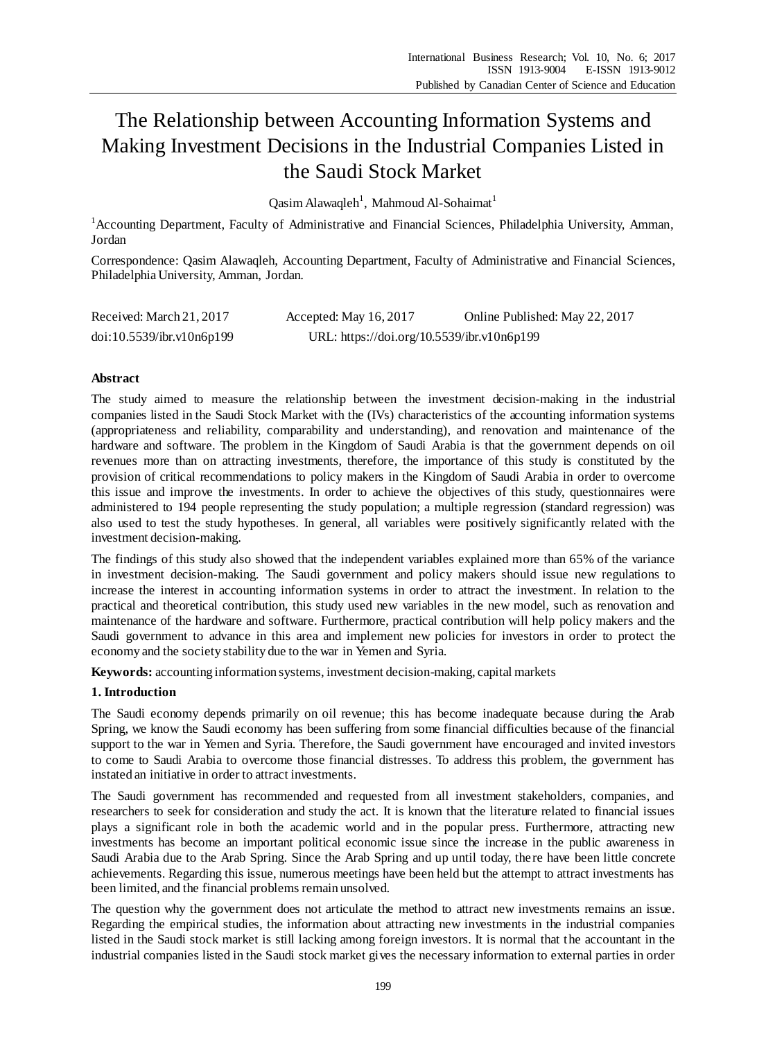# The Relationship between Accounting Information Systems and Making Investment Decisions in the Industrial Companies Listed in the Saudi Stock Market

Qasim Alawaqleh<sup>1</sup>, Mahmoud Al-Sohaimat<sup>1</sup>

<sup>1</sup> Accounting Department, Faculty of Administrative and Financial Sciences, Philadelphia University, Amman, Jordan

Correspondence: Qasim Alawaqleh, Accounting Department, Faculty of Administrative and Financial Sciences, Philadelphia University, Amman, Jordan.

| Received: March 21, 2017  | Accepted: May 16, 2017                     | Online Published: May 22, 2017 |
|---------------------------|--------------------------------------------|--------------------------------|
| doi:10.5539/ibr.v10n6p199 | URL: https://doi.org/10.5539/ibr.v10n6p199 |                                |

# **Abstract**

The study aimed to measure the relationship between the investment decision-making in the industrial companies listed in the Saudi Stock Market with the (IVs) characteristics of the accounting information systems (appropriateness and reliability, comparability and understanding), and renovation and maintenance of the hardware and software. The problem in the Kingdom of Saudi Arabia is that the government depends on oil revenues more than on attracting investments, therefore, the importance of this study is constituted by the provision of critical recommendations to policy makers in the Kingdom of Saudi Arabia in order to overcome this issue and improve the investments. In order to achieve the objectives of this study, questionnaires were administered to 194 people representing the study population; a multiple regression (standard regression) was also used to test the study hypotheses. In general, all variables were positively significantly related with the investment decision-making.

The findings of this study also showed that the independent variables explained more than 65% of the variance in investment decision-making. The Saudi government and policy makers should issue new regulations to increase the interest in accounting information systems in order to attract the investment. In relation to the practical and theoretical contribution, this study used new variables in the new model, such as renovation and maintenance of the hardware and software. Furthermore, practical contribution will help policy makers and the Saudi government to advance in this area and implement new policies for investors in order to protect the economy and the society stability due to the war in Yemen and Syria.

**Keywords:** accounting information systems, investment decision-making, capital markets

## **1. Introduction**

The Saudi economy depends primarily on oil revenue; this has become inadequate because during the Arab Spring, we know the Saudi economy has been suffering from some financial difficulties because of the financial support to the war in Yemen and Syria. Therefore, the Saudi government have encouraged and invited investors to come to Saudi Arabia to overcome those financial distresses. To address this problem, the government has instated an initiative in order to attract investments.

The Saudi government has recommended and requested from all investment stakeholders, companies, and researchers to seek for consideration and study the act. It is known that the literature related to financial issues plays a significant role in both the academic world and in the popular press. Furthermore, attracting new investments has become an important political economic issue since the increase in the public awareness in Saudi Arabia due to the Arab Spring. Since the Arab Spring and up until today, there have been little concrete achievements. Regarding this issue, numerous meetings have been held but the attempt to attract investments has been limited, and the financial problems remain unsolved.

The question why the government does not articulate the method to attract new investments remains an issue. Regarding the empirical studies, the information about attracting new investments in the industrial companies listed in the Saudi stock market is still lacking among foreign investors. It is normal that the accountant in the industrial companies listed in the Saudi stock market gives the necessary information to external parties in order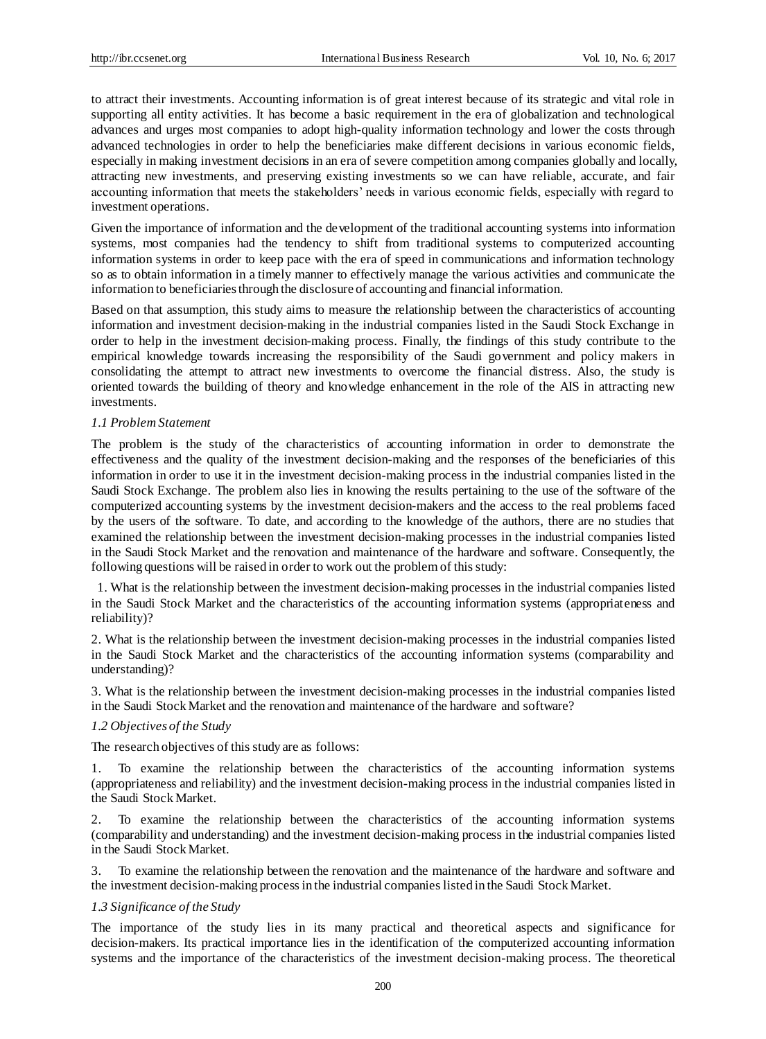to attract their investments. Accounting information is of great interest because of its strategic and vital role in supporting all entity activities. It has become a basic requirement in the era of globalization and technological advances and urges most companies to adopt high-quality information technology and lower the costs through advanced technologies in order to help the beneficiaries make different decisions in various economic fields, especially in making investment decisions in an era of severe competition among companies globally and locally, attracting new investments, and preserving existing investments so we can have reliable, accurate, and fair accounting information that meets the stakeholders' needs in various economic fields, especially with regard to investment operations.

Given the importance of information and the development of the traditional accounting systems into information systems, most companies had the tendency to shift from traditional systems to computerized accounting information systems in order to keep pace with the era of speed in communications and information technology so as to obtain information in a timely manner to effectively manage the various activities and communicate the information to beneficiaries through the disclosure of accounting and financial information.

Based on that assumption, this study aims to measure the relationship between the characteristics of accounting information and investment decision-making in the industrial companies listed in the Saudi Stock Exchange in order to help in the investment decision-making process. Finally, the findings of this study contribute to the empirical knowledge towards increasing the responsibility of the Saudi government and policy makers in consolidating the attempt to attract new investments to overcome the financial distress. Also, the study is oriented towards the building of theory and knowledge enhancement in the role of the AIS in attracting new investments.

## *1.1 Problem Statement*

The problem is the study of the characteristics of accounting information in order to demonstrate the effectiveness and the quality of the investment decision-making and the responses of the beneficiaries of this information in order to use it in the investment decision-making process in the industrial companies listed in the Saudi Stock Exchange. The problem also lies in knowing the results pertaining to the use of the software of the computerized accounting systems by the investment decision-makers and the access to the real problems faced by the users of the software. To date, and according to the knowledge of the authors, there are no studies that examined the relationship between the investment decision-making processes in the industrial companies listed in the Saudi Stock Market and the renovation and maintenance of the hardware and software. Consequently, the following questions will be raised in order to work out the problem of this study:

1. What is the relationship between the investment decision-making processes in the industrial companies listed in the Saudi Stock Market and the characteristics of the accounting information systems (appropriateness and reliability)?

2. What is the relationship between the investment decision-making processes in the industrial companies listed in the Saudi Stock Market and the characteristics of the accounting information systems (comparability and understanding)?

3. What is the relationship between the investment decision-making processes in the industrial companies listed in the Saudi Stock Market and the renovation and maintenance of the hardware and software?

#### *1.2 Objectives of the Study*

The research objectives of this study are as follows:

1. To examine the relationship between the characteristics of the accounting information systems (appropriateness and reliability) and the investment decision-making process in the industrial companies listed in the Saudi Stock Market.

2. To examine the relationship between the characteristics of the accounting information systems (comparability and understanding) and the investment decision-making process in the industrial companies listed in the Saudi Stock Market.

3. To examine the relationship between the renovation and the maintenance of the hardware and software and the investment decision-making process in the industrial companies listed in the Saudi Stock Market.

#### *1.3 Significance of the Study*

The importance of the study lies in its many practical and theoretical aspects and significance for decision-makers. Its practical importance lies in the identification of the computerized accounting information systems and the importance of the characteristics of the investment decision-making process. The theoretical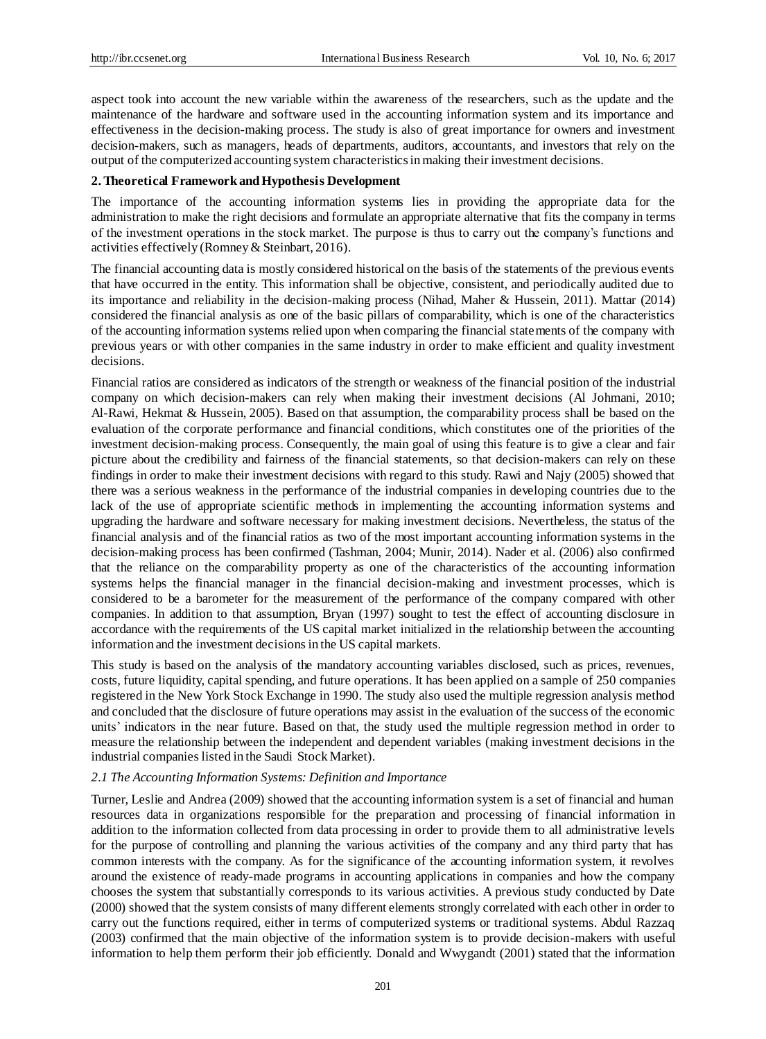aspect took into account the new variable within the awareness of the researchers, such as the update and the maintenance of the hardware and software used in the accounting information system and its importance and effectiveness in the decision-making process. The study is also of great importance for owners and investment decision-makers, such as managers, heads of departments, auditors, accountants, and investors that rely on the output of the computerized accounting system characteristics in making their investment decisions.

## **2. Theoretical Framework and Hypothesis Development**

The importance of the accounting information systems lies in providing the appropriate data for the administration to make the right decisions and formulate an appropriate alternative that fits the company in terms of the investment operations in the stock market. The purpose is thus to carry out the company's functions and activities effectively (Romney & Steinbart, 2016).

The financial accounting data is mostly considered historical on the basis of the statements of the previous events that have occurred in the entity. This information shall be objective, consistent, and periodically audited due to its importance and reliability in the decision-making process (Nihad, Maher & Hussein, 2011). Mattar (2014) considered the financial analysis as one of the basic pillars of comparability, which is one of the characteristics of the accounting information systems relied upon when comparing the financial statements of the company with previous years or with other companies in the same industry in order to make efficient and quality investment decisions.

Financial ratios are considered as indicators of the strength or weakness of the financial position of the industrial company on which decision-makers can rely when making their investment decisions (Al Johmani, 2010; Al-Rawi, Hekmat & Hussein, 2005). Based on that assumption, the comparability process shall be based on the evaluation of the corporate performance and financial conditions, which constitutes one of the priorities of the investment decision-making process. Consequently, the main goal of using this feature is to give a clear and fair picture about the credibility and fairness of the financial statements, so that decision-makers can rely on these findings in order to make their investment decisions with regard to this study. Rawi and Najy (2005) showed that there was a serious weakness in the performance of the industrial companies in developing countries due to the lack of the use of appropriate scientific methods in implementing the accounting information systems and upgrading the hardware and software necessary for making investment decisions. Nevertheless, the status of the financial analysis and of the financial ratios as two of the most important accounting information systems in the decision-making process has been confirmed (Tashman, 2004; Munir, 2014). Nader et al. (2006) also confirmed that the reliance on the comparability property as one of the characteristics of the accounting information systems helps the financial manager in the financial decision-making and investment processes, which is considered to be a barometer for the measurement of the performance of the company compared with other companies. In addition to that assumption, Bryan (1997) sought to test the effect of accounting disclosure in accordance with the requirements of the US capital market initialized in the relationship between the accounting information and the investment decisions in the US capital markets.

This study is based on the analysis of the mandatory accounting variables disclosed, such as prices, revenues, costs, future liquidity, capital spending, and future operations. It has been applied on a sample of 250 companies registered in the New York Stock Exchange in 1990. The study also used the multiple regression analysis method and concluded that the disclosure of future operations may assist in the evaluation of the success of the economic units' indicators in the near future. Based on that, the study used the multiple regression method in order to measure the relationship between the independent and dependent variables (making investment decisions in the industrial companies listed in the Saudi Stock Market).

## *2.1 The Accounting Information Systems: Definition and Importance*

Turner, Leslie and Andrea (2009) showed that the accounting information system is a set of financial and human resources data in organizations responsible for the preparation and processing of financial information in addition to the information collected from data processing in order to provide them to all administrative levels for the purpose of controlling and planning the various activities of the company and any third party that has common interests with the company. As for the significance of the accounting information system, it revolves around the existence of ready-made programs in accounting applications in companies and how the company chooses the system that substantially corresponds to its various activities. A previous study conducted by Date (2000) showed that the system consists of many different elements strongly correlated with each other in order to carry out the functions required, either in terms of computerized systems or traditional systems. Abdul Razzaq (2003) confirmed that the main objective of the information system is to provide decision-makers with useful information to help them perform their job efficiently. Donald and Wwygandt (2001) stated that the information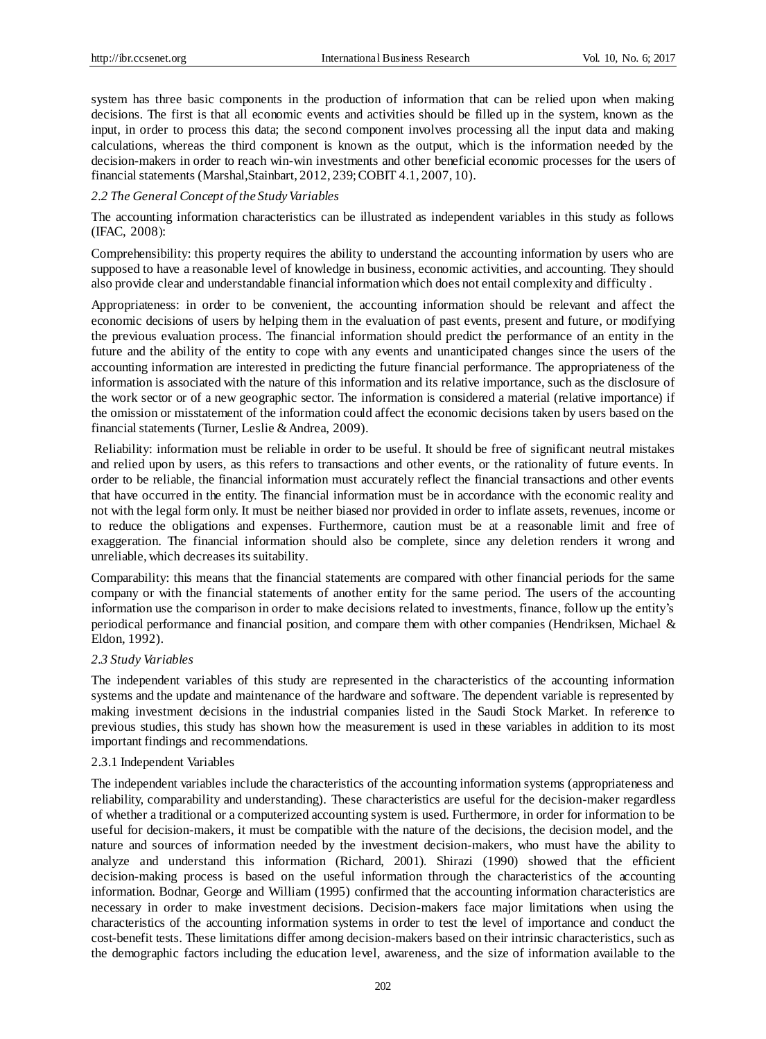system has three basic components in the production of information that can be relied upon when making decisions. The first is that all economic events and activities should be filled up in the system, known as the input, in order to process this data; the second component involves processing all the input data and making calculations, whereas the third component is known as the output, which is the information needed by the decision-makers in order to reach win-win investments and other beneficial economic processes for the users of financial statements (Marshal,Stainbart, 2012, 239; COBIT 4.1, 2007, 10).

## *2.2 The General Concept of the Study Variables*

The accounting information characteristics can be illustrated as independent variables in this study as follows (IFAC, 2008):

Comprehensibility: this property requires the ability to understand the accounting information by users who are supposed to have a reasonable level of knowledge in business, economic activities, and accounting. They should also provide clear and understandable financial information which does not entail complexity and difficulty .

Appropriateness: in order to be convenient, the accounting information should be relevant and affect the economic decisions of users by helping them in the evaluation of past events, present and future, or modifying the previous evaluation process. The financial information should predict the performance of an entity in the future and the ability of the entity to cope with any events and unanticipated changes since the users of the accounting information are interested in predicting the future financial performance. The appropriateness of the information is associated with the nature of this information and its relative importance, such as the disclosure of the work sector or of a new geographic sector. The information is considered a material (relative importance) if the omission or misstatement of the information could affect the economic decisions taken by users based on the financial statements (Turner, Leslie & Andrea, 2009).

Reliability: information must be reliable in order to be useful. It should be free of significant neutral mistakes and relied upon by users, as this refers to transactions and other events, or the rationality of future events. In order to be reliable, the financial information must accurately reflect the financial transactions and other events that have occurred in the entity. The financial information must be in accordance with the economic reality and not with the legal form only. It must be neither biased nor provided in order to inflate assets, revenues, income or to reduce the obligations and expenses. Furthermore, caution must be at a reasonable limit and free of exaggeration. The financial information should also be complete, since any deletion renders it wrong and unreliable, which decreases its suitability.

Comparability: this means that the financial statements are compared with other financial periods for the same company or with the financial statements of another entity for the same period. The users of the accounting information use the comparison in order to make decisions related to investments, finance, follow up the entity's periodical performance and financial position, and compare them with other companies (Hendriksen, Michael & Eldon, 1992).

#### *2.3 Study Variables*

The independent variables of this study are represented in the characteristics of the accounting information systems and the update and maintenance of the hardware and software. The dependent variable is represented by making investment decisions in the industrial companies listed in the Saudi Stock Market. In reference to previous studies, this study has shown how the measurement is used in these variables in addition to its most important findings and recommendations.

#### 2.3.1 Independent Variables

The independent variables include the characteristics of the accounting information systems (appropriateness and reliability, comparability and understanding). These characteristics are useful for the decision-maker regardless of whether a traditional or a computerized accounting system is used. Furthermore, in order for information to be useful for decision-makers, it must be compatible with the nature of the decisions, the decision model, and the nature and sources of information needed by the investment decision-makers, who must have the ability to analyze and understand this information (Richard, 2001). Shirazi (1990) showed that the efficient decision-making process is based on the useful information through the characteristics of the accounting information. Bodnar, George and William (1995) confirmed that the accounting information characteristics are necessary in order to make investment decisions. Decision-makers face major limitations when using the characteristics of the accounting information systems in order to test the level of importance and conduct the cost-benefit tests. These limitations differ among decision-makers based on their intrinsic characteristics, such as the demographic factors including the education level, awareness, and the size of information available to the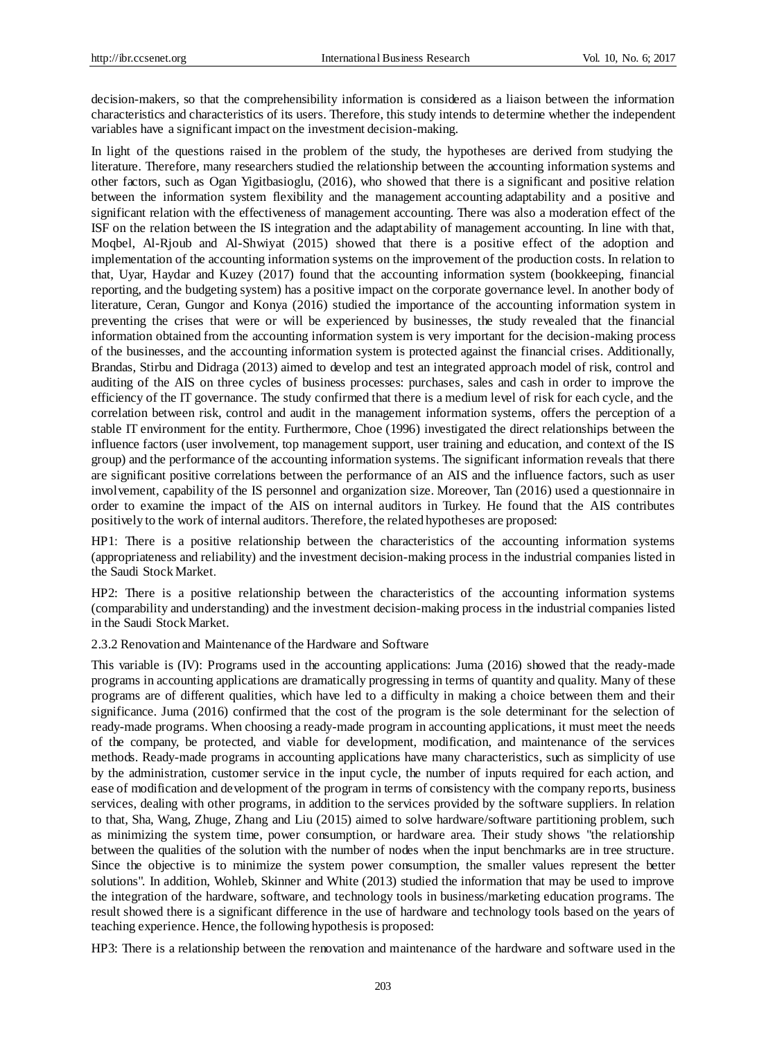decision-makers, so that the comprehensibility information is considered as a liaison between the information characteristics and characteristics of its users. Therefore, this study intends to determine whether the independent variables have a significant impact on the investment decision-making.

In light of the questions raised in the problem of the study, the hypotheses are derived from studying the literature. Therefore, many researchers studied the relationship between the accounting information systems and other factors, such as Ogan Yigitbasioglu, (2016), who showed that there is a significant and positive relation between the information system flexibility and the management accounting adaptability and a positive and significant relation with the effectiveness of management accounting. There was also a moderation effect of the ISF on the relation between the IS integration and the adaptability of management accounting. In line with that, Moqbel, Al-Rjoub and Al-Shwiyat (2015) showed that there is a positive effect of the adoption and implementation of the accounting information systems on the improvement of the production costs. In relation to that, Uyar, Haydar and Kuzey (2017) found that the accounting information system (bookkeeping, financial reporting, and the budgeting system) has a positive impact on the corporate governance level. In another body of literature, Ceran, Gungor and Konya (2016) studied the importance of the accounting information system in preventing the crises that were or will be experienced by businesses, the study revealed that the financial information obtained from the accounting information system is very important for the decision-making process of the businesses, and the accounting information system is protected against the financial crises. Additionally, Brandas, Stirbu and Didraga (2013) aimed to develop and test an integrated approach model of risk, control and auditing of the AIS on three cycles of business processes: purchases, sales and cash in order to improve the efficiency of the IT governance. The study confirmed that there is a medium level of risk for each cycle, and the correlation between risk, control and audit in the management information systems, offers the perception of a stable IT environment for the entity. Furthermore, Choe (1996) investigated the direct relationships between the influence factors (user involvement, top management support, user training and education, and context of the IS group) and the performance of the accounting information systems. The significant information reveals that there are significant positive correlations between the performance of an AIS and the influence factors, such as user involvement, capability of the IS personnel and organization size. Moreover, Tan (2016) used a questionnaire in order to examine the impact of the AIS on internal auditors in Turkey. He found that the AIS contributes positively to the work of internal auditors. Therefore, the related hypotheses are proposed:

HP1: There is a positive relationship between the characteristics of the accounting information systems (appropriateness and reliability) and the investment decision-making process in the industrial companies listed in the Saudi Stock Market.

HP2: There is a positive relationship between the characteristics of the accounting information systems (comparability and understanding) and the investment decision-making process in the industrial companies listed in the Saudi Stock Market.

## 2.3.2 Renovation and Maintenance of the Hardware and Software

This variable is (IV): Programs used in the accounting applications: Juma (2016) showed that the ready-made programs in accounting applications are dramatically progressing in terms of quantity and quality. Many of these programs are of different qualities, which have led to a difficulty in making a choice between them and their significance. Juma (2016) confirmed that the cost of the program is the sole determinant for the selection of ready-made programs. When choosing a ready-made program in accounting applications, it must meet the needs of the company, be protected, and viable for development, modification, and maintenance of the services methods. Ready-made programs in accounting applications have many characteristics, such as simplicity of use by the administration, customer service in the input cycle, the number of inputs required for each action, and ease of modification and development of the program in terms of consistency with the company reports, business services, dealing with other programs, in addition to the services provided by the software suppliers. In relation to that, Sha, Wang, Zhuge, Zhang and Liu (2015) aimed to solve hardware/software partitioning problem, such as minimizing the system time, power consumption, or hardware area. Their study shows "the relationship between the qualities of the solution with the number of nodes when the input benchmarks are in tree structure. Since the objective is to minimize the system power consumption, the smaller values represent the better solutions". In addition, Wohleb, Skinner and White (2013) studied the information that may be used to improve the integration of the hardware, software, and technology tools in business/marketing education programs. The result showed there is a significant difference in the use of hardware and technology tools based on the years of teaching experience. Hence, the following hypothesis is proposed:

HP3: There is a relationship between the renovation and maintenance of the hardware and software used in the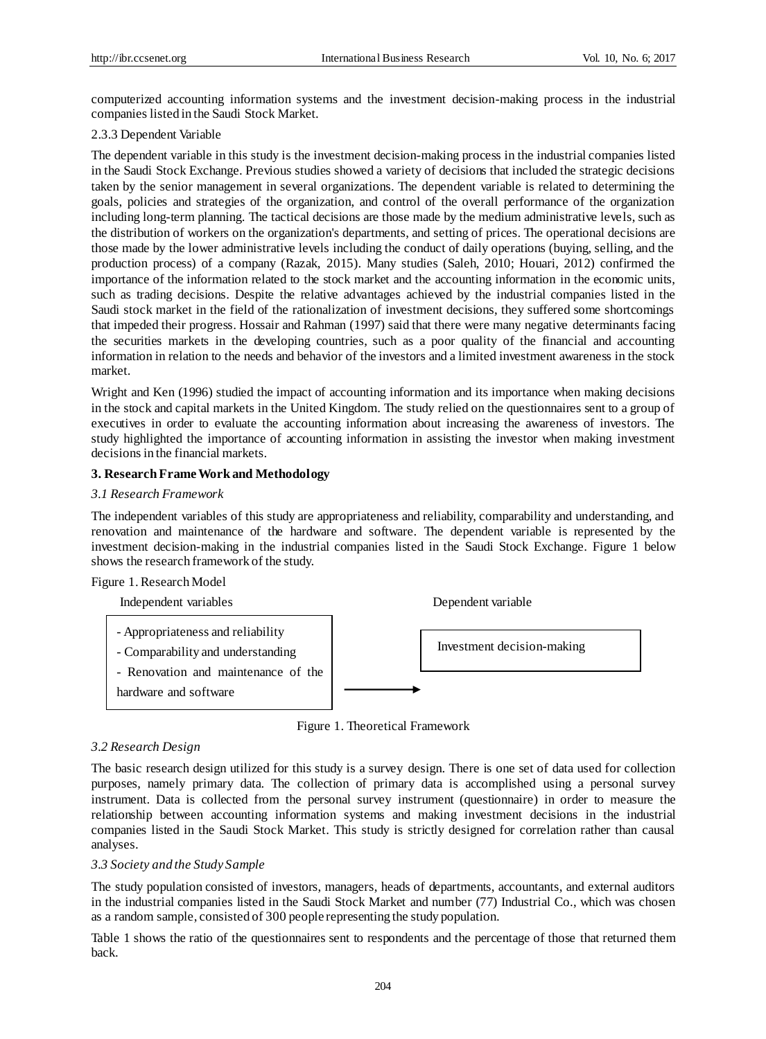computerized accounting information systems and the investment decision-making process in the industrial companies listed in the Saudi Stock Market.

## 2.3.3 Dependent Variable

The dependent variable in this study is the investment decision-making process in the industrial companies listed in the Saudi Stock Exchange. Previous studies showed a variety of decisions that included the strategic decisions taken by the senior management in several organizations. The dependent variable is related to determining the goals, policies and strategies of the organization, and control of the overall performance of the organization including long-term planning. The tactical decisions are those made by the medium administrative levels, such as the distribution of workers on the organization's departments, and setting of prices. The operational decisions are those made by the lower administrative levels including the conduct of daily operations (buying, selling, and the production process) of a company (Razak, 2015). Many studies (Saleh, 2010; Houari, 2012) confirmed the importance of the information related to the stock market and the accounting information in the economic units, such as trading decisions. Despite the relative advantages achieved by the industrial companies listed in the Saudi stock market in the field of the rationalization of investment decisions, they suffered some shortcomings that impeded their progress. Hossair and Rahman (1997) said that there were many negative determinants facing the securities markets in the developing countries, such as a poor quality of the financial and accounting information in relation to the needs and behavior of the investors and a limited investment awareness in the stock market.

Wright and Ken (1996) studied the impact of accounting information and its importance when making decisions in the stock and capital markets in the United Kingdom. The study relied on the questionnaires sent to a group of executives in order to evaluate the accounting information about increasing the awareness of investors. The study highlighted the importance of accounting information in assisting the investor when making investment decisions in the financial markets.

## **3. Research Frame Work and Methodology**

## *3.1 Research Framework*

The independent variables of this study are appropriateness and reliability, comparability and understanding, and renovation and maintenance of the hardware and software. The dependent variable is represented by the investment decision-making in the industrial companies listed in the Saudi Stock Exchange. Figure 1 below shows the research framework of the study.

Figure 1. Research Model



Figure 1. Theoretical Framework

## *3.2 Research Design*

The basic research design utilized for this study is a survey design. There is one set of data used for collection purposes, namely primary data. The collection of primary data is accomplished using a personal survey instrument. Data is collected from the personal survey instrument (questionnaire) in order to measure the relationship between accounting information systems and making investment decisions in the industrial companies listed in the Saudi Stock Market. This study is strictly designed for correlation rather than causal analyses.

## *3.3 Society and the Study Sample*

The study population consisted of investors, managers, heads of departments, accountants, and external auditors in the industrial companies listed in the Saudi Stock Market and number (77) Industrial Co., which was chosen as a random sample, consisted of 300 people representing the study population.

Table 1 shows the ratio of the questionnaires sent to respondents and the percentage of those that returned them back.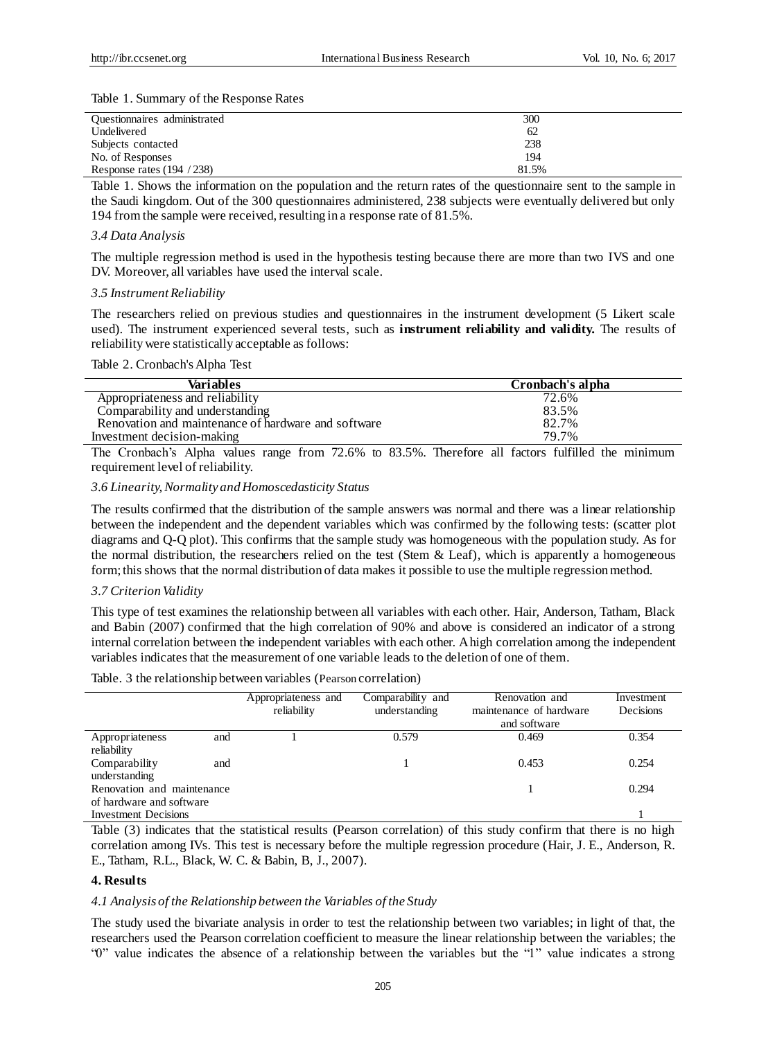#### Table 1. Summary of the Response Rates

| Questionnaires administrated | 300   |
|------------------------------|-------|
| Undelivered                  | 62    |
| Subjects contacted           | 238   |
| No. of Responses             | 194   |
| Response rates $(194 / 238)$ | 81.5% |

Table 1. Shows the information on the population and the return rates of the questionnaire sent to the sample in the Saudi kingdom. Out of the 300 questionnaires administered, 238 subjects were eventually delivered but only 194 from the sample were received, resulting in a response rate of 81.5%.

#### *3.4 Data Analysis*

The multiple regression method is used in the hypothesis testing because there are more than two IVS and one DV. Moreover, all variables have used the interval scale.

#### *3.5 Instrument Reliability*

The researchers relied on previous studies and questionnaires in the instrument development (5 Likert scale used). The instrument experienced several tests, such as **instrument reliability and validity.** The results of reliability were statistically acceptable as follows:

Table 2. Cronbach's Alpha Test

| Variables                                           | Cronbach's alpha |
|-----------------------------------------------------|------------------|
| Appropriateness and reliability                     | 72.6%            |
| Comparability and understanding                     | 83.5%            |
| Renovation and maintenance of hardware and software | 82.7%            |
| Investment decision-making                          | 79.7%            |

The Cronbach's Alpha values range from 72.6% to 83.5%. Therefore all factors fulfilled the minimum requirement level of reliability.

#### *3.6 Linearity, Normality and Homoscedasticity Status*

The results confirmed that the distribution of the sample answers was normal and there was a linear relationship between the independent and the dependent variables which was confirmed by the following tests: (scatter plot diagrams and Q-Q plot). This confirms that the sample study was homogeneous with the population study. As for the normal distribution, the researchers relied on the test (Stem  $\&$  Leaf), which is apparently a homogeneous form; this shows that the normal distribution of data makes it possible to use the multiple regression method.

### *3.7 Criterion Validity*

This type of test examines the relationship between all variables with each other. Hair, Anderson, Tatham, Black and Babin (2007) confirmed that the high correlation of 90% and above is considered an indicator of a strong internal correlation between the independent variables with each other. A high correlation among the independent variables indicates that the measurement of one variable leads to the deletion of one of them.

#### Table. 3 the relationship between variables (Pearson correlation)

|                             |     | Appropriateness and | Comparability and | Renovation and          | Investment |
|-----------------------------|-----|---------------------|-------------------|-------------------------|------------|
|                             |     | reliability         | understanding     | maintenance of hardware | Decisions  |
|                             |     |                     |                   | and software            |            |
| Appropriateness             | and |                     | 0.579             | 0.469                   | 0.354      |
| reliability                 |     |                     |                   |                         |            |
| Comparability               | and |                     |                   | 0.453                   | 0.254      |
| understanding               |     |                     |                   |                         |            |
| Renovation and maintenance  |     |                     |                   |                         | 0.294      |
| of hardware and software    |     |                     |                   |                         |            |
| <b>Investment Decisions</b> |     |                     |                   |                         |            |

Table (3) indicates that the statistical results (Pearson correlation) of this study confirm that there is no high correlation among IVs. This test is necessary before the multiple regression procedure (Hair, J. E., Anderson, R. E., Tatham, R.L., Black, W. C. & Babin, B, J., 2007).

## **4. Results**

#### *4.1 Analysis of the Relationship between the Variables of the Study*

The study used the bivariate analysis in order to test the relationship between two variables; in light of that, the researchers used the Pearson correlation coefficient to measure the linear relationship between the variables; the "0" value indicates the absence of a relationship between the variables but the "1" value indicates a strong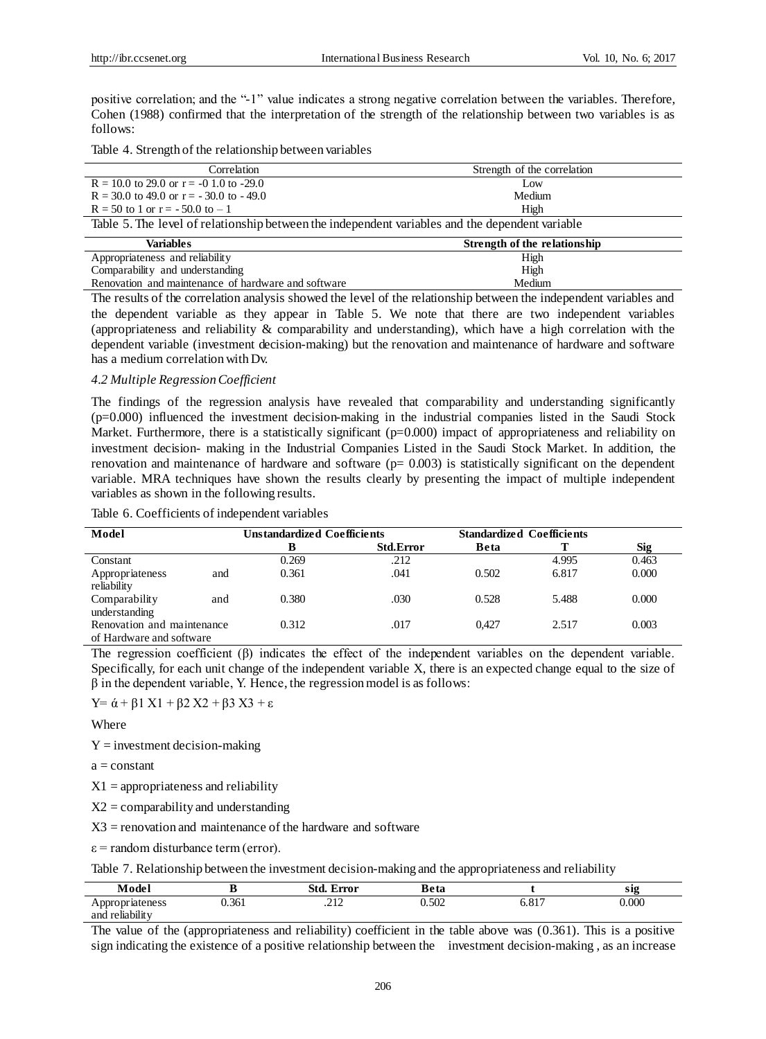positive correlation; and the "-1" value indicates a strong negative correlation between the variables. Therefore, Cohen (1988) confirmed that the interpretation of the strength of the relationship between two variables is as follows:

Table 4. Strength of the relationship between variables

| Correlation                                                                                     | Strength of the correlation |
|-------------------------------------------------------------------------------------------------|-----------------------------|
| $R = 10.0$ to 29.0 or $r = -0.1$ to $-29.0$                                                     | Low                         |
| $R = 30.0$ to 49.0 or $r = -30.0$ to $-49.0$                                                    | Medium                      |
| $R = 50$ to 1 or $r = -50.0$ to $-1$                                                            | High                        |
| Table 5. The level of relationship between the independent variables and the dependent variable |                             |
| <b>TI </b>                                                                                      |                             |

| <b>Variables</b>                                    | Strength of the relationship |
|-----------------------------------------------------|------------------------------|
| Appropriateness and reliability                     | High                         |
| Comparability and understanding                     | High                         |
| Renovation and maintenance of hardware and software | Medium                       |

The results of the correlation analysis showed the level of the relationship between the independent variables and the dependent variable as they appear in Table 5. We note that there are two independent variables (appropriateness and reliability & comparability and understanding), which have a high correlation with the dependent variable (investment decision-making) but the renovation and maintenance of hardware and software has a medium correlation with Dv.

## *4.2 Multiple Regression Coefficient*

The findings of the regression analysis have revealed that comparability and understanding significantly (p=0.000) influenced the investment decision-making in the industrial companies listed in the Saudi Stock Market. Furthermore, there is a statistically significant (p=0.000) impact of appropriateness and reliability on investment decision- making in the Industrial Companies Listed in the Saudi Stock Market. In addition, the renovation and maintenance of hardware and software ( $p= 0.003$ ) is statistically significant on the dependent variable. MRA techniques have shown the results clearly by presenting the impact of multiple independent variables as shown in the following results.

Table 6. Coefficients of independent variables

| Model                                                  |     | <b>Unstandardized Coefficients</b> |                  | <b>Standardized Coefficients</b> |       |            |
|--------------------------------------------------------|-----|------------------------------------|------------------|----------------------------------|-------|------------|
|                                                        |     | В                                  | <b>Std.Error</b> | Beta                             |       | <b>Sig</b> |
| Constant                                               |     | 0.269                              | .212             |                                  | 4.995 | 0.463      |
| Appropriateness<br>reliability                         | and | 0.361                              | .041             | 0.502                            | 6.817 | 0.000      |
| Comparability<br>understanding                         | and | 0.380                              | .030             | 0.528                            | 5.488 | 0.000      |
| Renovation and maintenance<br>of Hardware and software |     | 0.312                              | .017             | 0.427                            | 2.517 | 0.003      |

The regression coefficient (β) indicates the effect of the independent variables on the dependent variable. Specifically, for each unit change of the independent variable X, there is an expected change equal to the size of  $β$  in the dependent variable, Y. Hence, the regression model is as follows:

Y=  $\alpha$  + β1 X1 + β2 X2 + β3 X3 + ε

Where

 $Y =$  investment decision-making

 $a = constant$ 

 $X1$  = appropriateness and reliability

 $X2 =$  comparability and understanding

 $X3$  = renovation and maintenance of the hardware and software

 $\varepsilon$  = random disturbance term (error).

Table 7. Relationship between the investment decision-making and the appropriateness and reliability

| Model                                  |       | Std.<br>Error        | Beta  |              | sıg   |
|----------------------------------------|-------|----------------------|-------|--------------|-------|
| Appropriateness<br>. .                 | 0.361 | $\sim$ 1 $\sim$<br>. | 0.502 | 017<br>0.01. | 0.000 |
| $-10$ $-10$ $-10$<br>rehability<br>and |       |                      |       |              |       |

The value of the (appropriateness and reliability) coefficient in the table above was (0.361). This is a positive sign indicating the existence of a positive relationship between the investment decision-making , as an increase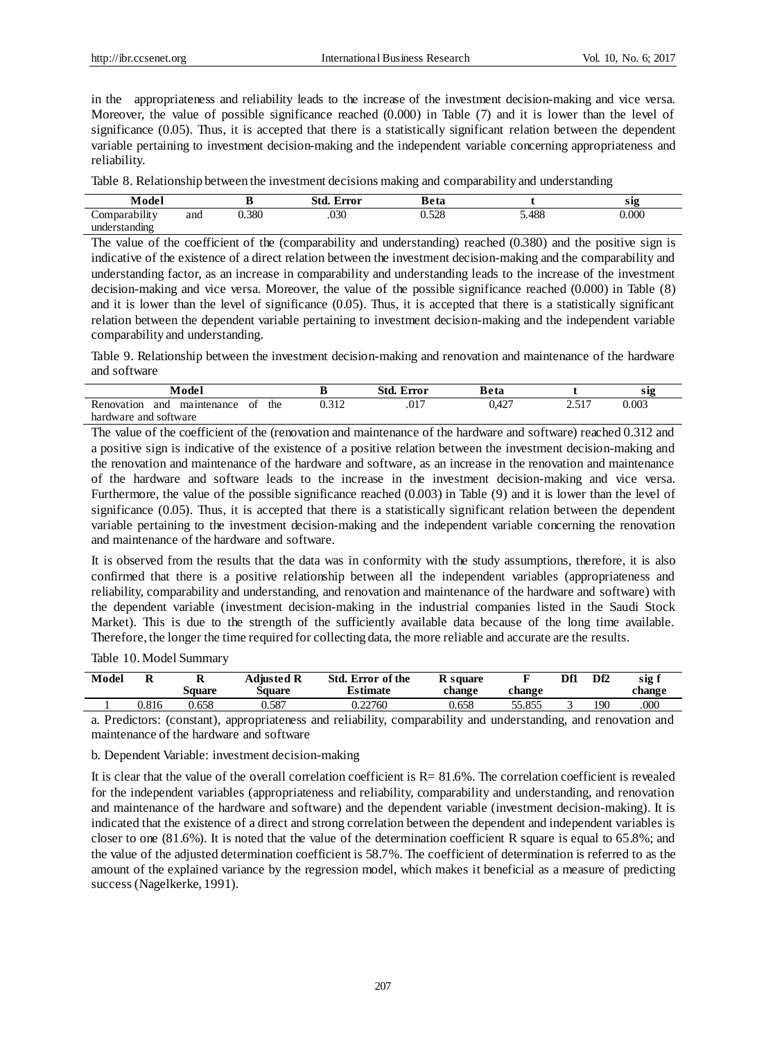in the appropriateness and reliability leads to the increase of the investment decision-making and vice versa. Moreover, the value of possible significance reached (0.000) in Table (7) and it is lower than the level of significance (0.05). Thus, it is accepted that there is a statistically significant relation between the dependent variable pertaining to investment decision-making and the independent variable concerning appropriateness and reliability.

Table 8. Relationship between the investment decisions making and comparability and understanding

| Model                     |     |       | Std<br>Error | Beta         |       | <b>S19</b> |
|---------------------------|-----|-------|--------------|--------------|-------|------------|
| $\cdots$<br>Comparability | and | 0.380 | .030         | 500<br>U.J∠0 | 5.488 | 0.000      |
| lerstandıng<br>unde       |     |       |              |              |       |            |

The value of the coefficient of the (comparability and understanding) reached (0.380) and the positive sign is indicative of the existence of a direct relation between the investment decision-making and the comparability and understanding factor, as an increase in comparability and understanding leads to the increase of the investment decision-making and vice versa. Moreover, the value of the possible significance reached (0.000) in Table (8) and it is lower than the level of significance (0.05). Thus, it is accepted that there is a statistically significant relation between the dependent variable pertaining to investment decision-making and the independent variable comparability and understanding.

Table 9. Relationship between the investment decision-making and renovation and maintenance of the hardware and software

| Model                                         |       | <b>Std. Error</b> | Beta  |       | S I S |
|-----------------------------------------------|-------|-------------------|-------|-------|-------|
| and<br>the<br>maintenance<br>Renovation<br>ΩŤ | 0.312 | .017              | 0.427 | 2.517 | 0.003 |
| hardware and software                         |       |                   |       |       |       |

The value of the coefficient of the (renovation and maintenance of the hardware and software) reached 0.312 and a positive sign is indicative of the existence of a positive relation between the investment decision-making and the renovation and maintenance of the hardware and software, as an increase in the renovation and maintenance of the hardware and software leads to the increase in the investment decision-making and vice versa. Furthermore, the value of the possible significance reached (0.003) in Table (9) and it is lower than the level of significance (0.05). Thus, it is accepted that there is a statistically significant relation between the dependent variable pertaining to the investment decision-making and the independent variable concerning the renovation and maintenance of the hardware and software.

It is observed from the results that the data was in conformity with the study assumptions, therefore, it is also confirmed that there is a positive relationship between all the independent variables (appropriateness and reliability, comparability and understanding, and renovation and maintenance of the hardware and software) with the dependent variable (investment decision-making in the industrial companies listed in the Saudi Stock Market). This is due to the strength of the sufficiently available data because of the long time available. Therefore, the longer the time required for collecting data, the more reliable and accurate are the results.

Table 10. Model Summary

| Model | v     | 17<br>Square | Adiusted R<br>square | Std. Error of the<br><b>Estimate</b> | R square<br>change | change | Dfl | Df2 | sig f<br>change |
|-------|-------|--------------|----------------------|--------------------------------------|--------------------|--------|-----|-----|-----------------|
|       | 0.816 | 0.658        | 0.587                | 0.22760                              | 0.658              | 55.855 |     | 190 | .000            |

a. Predictors: (constant), appropriateness and reliability, comparability and understanding, and renovation and maintenance of the hardware and software

b. Dependent Variable: investment decision-making

It is clear that the value of the overall correlation coefficient is R= 81.6%. The correlation coefficient is revealed for the independent variables (appropriateness and reliability, comparability and understanding, and renovation and maintenance of the hardware and software) and the dependent variable (investment decision-making). It is indicated that the existence of a direct and strong correlation between the dependent and independent variables is closer to one (81.6%). It is noted that the value of the determination coefficient R square is equal to 65.8%; and the value of the adjusted determination coefficient is 58.7%. The coefficient of determination is referred to as the amount of the explained variance by the regression model, which makes it beneficial as a measure of predicting success (Nagelkerke, 1991).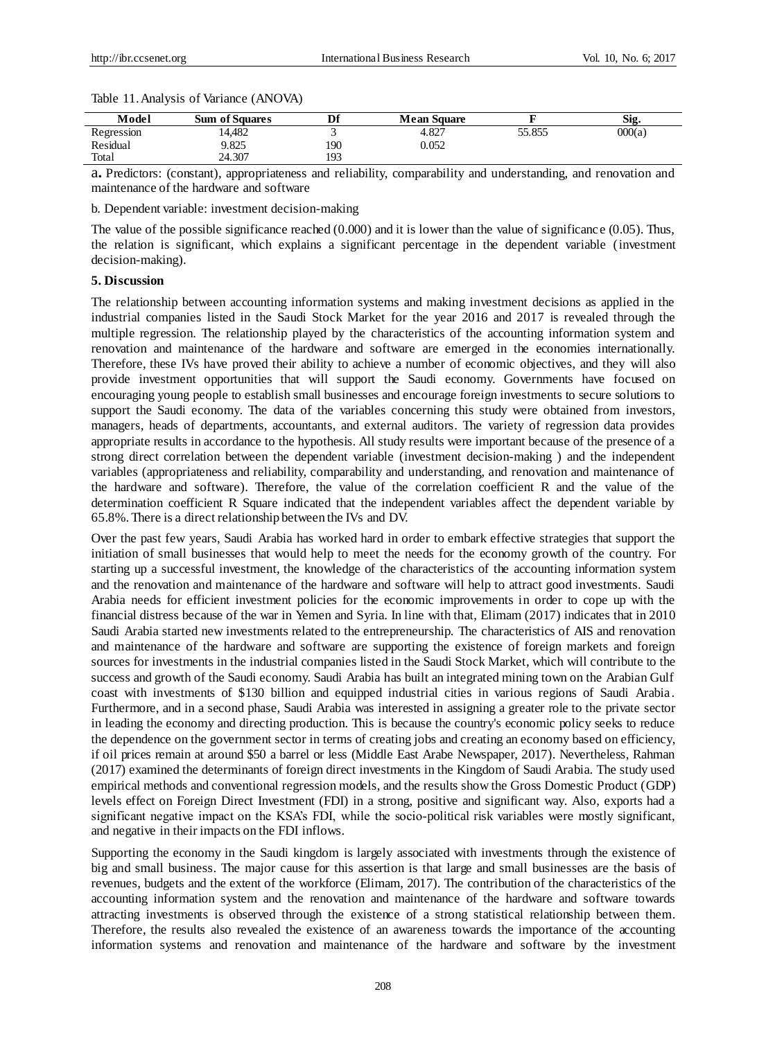| Model      | <b>Sum of Squares</b> | Df  | <b>Mean Square</b> |        | Sig.   |
|------------|-----------------------|-----|--------------------|--------|--------|
| Regression | 4.482                 |     | 4.827              | 55.855 | 000(a) |
| Residual   | 9.825                 | 190 | 0.052              |        |        |
| Total      | 24.307                | 193 |                    |        |        |

#### Table 11. Analysis of Variance (ANOVA)

a**.** Predictors: (constant), appropriateness and reliability, comparability and understanding, and renovation and maintenance of the hardware and software

#### b. Dependent variable: investment decision-making

The value of the possible significance reached (0.000) and it is lower than the value of significance (0.05). Thus, the relation is significant, which explains a significant percentage in the dependent variable (investment decision-making).

#### **5. Discussion**

The relationship between accounting information systems and making investment decisions as applied in the industrial companies listed in the Saudi Stock Market for the year 2016 and 2017 is revealed through the multiple regression. The relationship played by the characteristics of the accounting information system and renovation and maintenance of the hardware and software are emerged in the economies internationally. Therefore, these IVs have proved their ability to achieve a number of economic objectives, and they will also provide investment opportunities that will support the Saudi economy. Governments have focused on encouraging young people to establish small businesses and encourage foreign investments to secure solutions to support the Saudi economy. The data of the variables concerning this study were obtained from investors, managers, heads of departments, accountants, and external auditors. The variety of regression data provides appropriate results in accordance to the hypothesis. All study results were important because of the presence of a strong direct correlation between the dependent variable (investment decision-making ) and the independent variables (appropriateness and reliability, comparability and understanding, and renovation and maintenance of the hardware and software). Therefore, the value of the correlation coefficient R and the value of the determination coefficient R Square indicated that the independent variables affect the dependent variable by 65.8%. There is a direct relationship between the IVs and DV.

Over the past few years, Saudi Arabia has worked hard in order to embark effective strategies that support the initiation of small businesses that would help to meet the needs for the economy growth of the country. For starting up a successful investment, the knowledge of the characteristics of the accounting information system and the renovation and maintenance of the hardware and software will help to attract good investments. Saudi Arabia needs for efficient investment policies for the economic improvements in order to cope up with the financial distress because of the war in Yemen and Syria. In line with that, Elimam (2017) indicates that in 2010 Saudi Arabia started new investments related to the entrepreneurship. The characteristics of AIS and renovation and maintenance of the hardware and software are supporting the existence of foreign markets and foreign sources for investments in the industrial companies listed in the Saudi Stock Market, which will contribute to the success and growth of the Saudi economy. Saudi Arabia has built an integrated mining town on the Arabian Gulf coast with investments of \$130 billion and equipped industrial cities in various regions of Saudi Arabia . Furthermore, and in a second phase, Saudi Arabia was interested in assigning a greater role to the private sector in leading the economy and directing production. This is because the country's economic policy seeks to reduce the dependence on the government sector in terms of creating jobs and creating an economy based on efficiency, if oil prices remain at around \$50 a barrel or less (Middle East Arabe Newspaper, 2017). Nevertheless, Rahman (2017) examined the determinants of foreign direct investments in the Kingdom of Saudi Arabia. The study used empirical methods and conventional regression models, and the results show the Gross Domestic Product (GDP) levels effect on Foreign Direct Investment (FDI) in a strong, positive and significant way. Also, exports had a significant negative impact on the KSA's FDI, while the socio-political risk variables were mostly significant, and negative in their impacts on the FDI inflows.

Supporting the economy in the Saudi kingdom is largely associated with investments through the existence of big and small business. The major cause for this assertion is that large and small businesses are the basis of revenues, budgets and the extent of the workforce (Elimam, 2017). The contribution of the characteristics of the accounting information system and the renovation and maintenance of the hardware and software towards attracting investments is observed through the existence of a strong statistical relationship between them. Therefore, the results also revealed the existence of an awareness towards the importance of the accounting information systems and renovation and maintenance of the hardware and software by the investment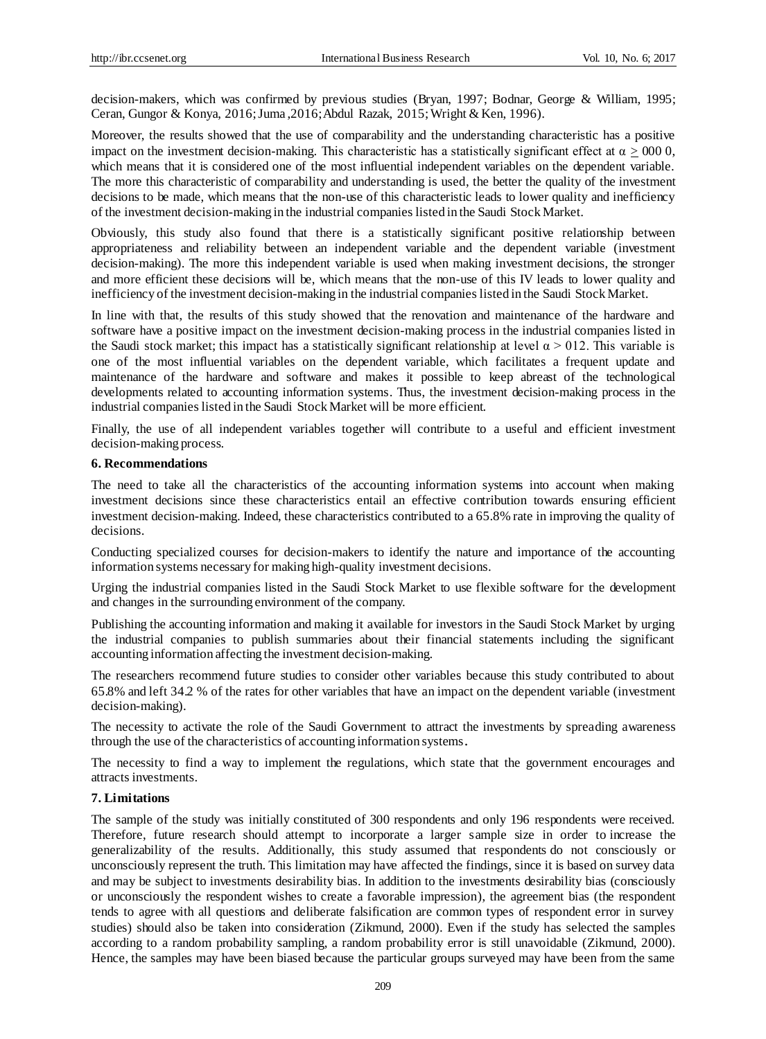decision-makers, which was confirmed by previous studies (Bryan, 1997; Bodnar, George & William, 1995; Ceran, Gungor & Konya, 2016; Juma ,2016; Abdul Razak, 2015; Wright & Ken, 1996).

Moreover, the results showed that the use of comparability and the understanding characteristic has a positive impact on the investment decision-making. This characteristic has a statistically significant effect at  $\alpha > 0000$ , which means that it is considered one of the most influential independent variables on the dependent variable. The more this characteristic of comparability and understanding is used, the better the quality of the investment decisions to be made, which means that the non-use of this characteristic leads to lower quality and inefficiency of the investment decision-making in the industrial companies listed in the Saudi Stock Market.

Obviously, this study also found that there is a statistically significant positive relationship between appropriateness and reliability between an independent variable and the dependent variable (investment decision-making). The more this independent variable is used when making investment decisions, the stronger and more efficient these decisions will be, which means that the non-use of this IV leads to lower quality and inefficiency of the investment decision-making in the industrial companies listed in the Saudi Stock Market.

In line with that, the results of this study showed that the renovation and maintenance of the hardware and software have a positive impact on the investment decision-making process in the industrial companies listed in the Saudi stock market; this impact has a statistically significant relationship at level  $\alpha$  > 012. This variable is one of the most influential variables on the dependent variable, which facilitates a frequent update and maintenance of the hardware and software and makes it possible to keep abreast of the technological developments related to accounting information systems. Thus, the investment decision-making process in the industrial companies listed in the Saudi Stock Market will be more efficient.

Finally, the use of all independent variables together will contribute to a useful and efficient investment decision-making process.

#### **6. Recommendations**

The need to take all the characteristics of the accounting information systems into account when making investment decisions since these characteristics entail an effective contribution towards ensuring efficient investment decision-making. Indeed, these characteristics contributed to a 65.8% rate in improving the quality of decisions.

Conducting specialized courses for decision-makers to identify the nature and importance of the accounting information systems necessary for making high-quality investment decisions.

Urging the industrial companies listed in the Saudi Stock Market to use flexible software for the development and changes in the surrounding environment of the company.

Publishing the accounting information and making it available for investors in the Saudi Stock Market by urging the industrial companies to publish summaries about their financial statements including the significant accounting information affecting the investment decision-making.

The researchers recommend future studies to consider other variables because this study contributed to about 65.8% and left 34.2 % of the rates for other variables that have an impact on the dependent variable (investment decision-making).

The necessity to activate the role of the Saudi Government to attract the investments by spreading awareness through the use of the characteristics of accounting information systems.

The necessity to find a way to implement the regulations, which state that the government encourages and attracts investments.

## **7. Limitations**

The sample of the study was initially constituted of 300 respondents and only 196 respondents were received. Therefore, future research should attempt to incorporate a larger sample size in order to increase the generalizability of the results. Additionally, this study assumed that respondents do not consciously or unconsciously represent the truth. This limitation may have affected the findings, since it is based on survey data and may be subject to investments desirability bias. In addition to the investments desirability bias (consciously or unconsciously the respondent wishes to create a favorable impression), the agreement bias (the respondent tends to agree with all questions and deliberate falsification are common types of respondent error in survey studies) should also be taken into consideration (Zikmund, 2000). Even if the study has selected the samples according to a random probability sampling, a random probability error is still unavoidable (Zikmund, 2000). Hence, the samples may have been biased because the particular groups surveyed may have been from the same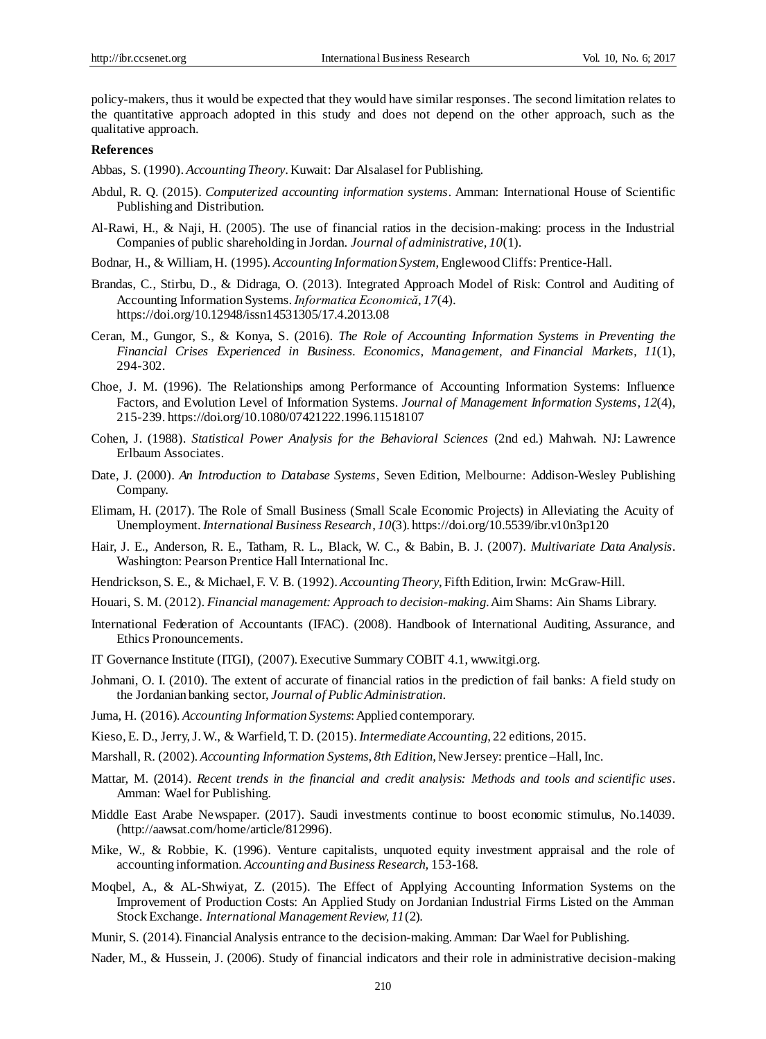policy-makers, thus it would be expected that they would have similar responses. The second limitation relates to the quantitative approach adopted in this study and does not depend on the other approach, such as the qualitative approach.

### **References**

Abbas, S. (1990). *Accounting Theory*. Kuwait: Dar Alsalasel for Publishing.

- Abdul, R. Q. (2015). *Computerized accounting information systems*. Amman: International House of Scientific Publishing and Distribution.
- Al-Rawi, H., & Naji, H. (2005). The use of financial ratios in the decision-making: process in the Industrial Companies of public shareholding in Jordan. *Journal of administrative*, *10*(1).
- Bodnar, H., & William, H. (1995). *Accounting Information System*, EnglewoodCliffs: Prentice-Hall.
- Brandas, C., Stirbu, D., & Didraga, O. (2013). Integrated Approach Model of Risk: Control and Auditing of Accounting Information Systems. *Informatica Economică*, *17*(4). https://doi.org/10.12948/issn14531305/17.4.2013.08
- Ceran, M., Gungor, S., & Konya, S. (2016). *The Role of Accounting Information Systems in Preventing the Financial Crises Experienced in Business. Economics, Management, and Financial Markets, 11*(1), 294-302.
- Choe, J. M. (1996). The Relationships among Performance of Accounting Information Systems: Influence Factors, and Evolution Level of Information Systems. *Journal of Management Information Systems*, *12*(4), 215-239. https://doi.org/10.1080/07421222.1996.11518107
- Cohen, J. (1988). *Statistical Power Analysis for the Behavioral Sciences* (2nd ed.) Mahwah. NJ: Lawrence Erlbaum Associates.
- Date, J. (2000). *An Introduction to Database Systems*, Seven Edition, Melbourne: Addison-Wesley Publishing Company.
- Elimam, H. (2017). The Role of Small Business (Small Scale Economic Projects) in Alleviating the Acuity of Unemployment. *International Business Research*, *10*(3). https://doi.org/10.5539/ibr.v10n3p120
- Hair, J. E., Anderson, R. E., Tatham, R. L., Black, W. C., & Babin, B. J. (2007). *Multivariate Data Analysis*. Washington: Pearson Prentice Hall International Inc.
- Hendrickson, S. E., & Michael, F. V. B. (1992). *Accounting Theory*, Fifth Edition, Irwin: McGraw-Hill.
- Houari, S. M. (2012). *Financial management: Approach to decision-making*. Aim Shams: Ain Shams Library.
- International Federation of Accountants (IFAC). (2008). Handbook of International Auditing, Assurance, and Ethics Pronouncements.
- IT Governance Institute (ITGI), (2007). Executive Summary COBIT 4.1, www.itgi.org.
- Johmani, O. I. (2010). The extent of accurate of financial ratios in the prediction of fail banks: A field study on the Jordanian banking sector, *Journal of Public Administration*.
- Juma, H. (2016). *Accounting Information Systems*: Applied contemporary.
- Kieso, E. D., Jerry, J. W., & Warfield, T. D. (2015). *Intermediate Accounting*, 22 editions, 2015.
- Marshall, R. (2002). *Accounting Information Systems*, *8th Edition*, New Jersey: prentice –Hall, Inc.
- Mattar, M. (2014). *Recent trends in the financial and credit analysis: Methods and tools and scientific uses*. Amman: Wael for Publishing.
- Middle East Arabe Newspaper. (2017). Saudi investments continue to boost economic stimulus, No.14039. (http://aawsat.com/home/article/812996).
- Mike, W., & Robbie, K. (1996). Venture capitalists, unquoted equity investment appraisal and the role of accounting information. *Accounting and Business Research,* 153-168.
- Moqbel, A., & AL-Shwiyat, Z. (2015). The Effect of Applying Accounting Information Systems on the Improvement of Production Costs: An Applied Study on Jordanian Industrial Firms Listed on the Amman Stock Exchange. *International Management Review, 11*(2).
- Munir, S. (2014). Financial Analysis entrance to the decision-making. Amman: Dar Wael for Publishing.
- Nader, M., & Hussein, J. (2006). Study of financial indicators and their role in administrative decision-making